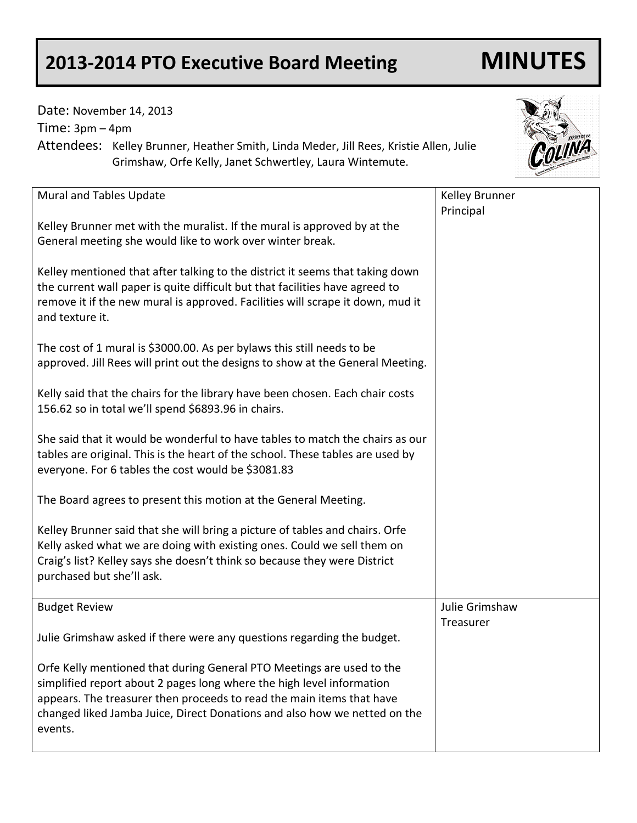## **2013-2014 PTO Executive Board Meeting MINUTES**

Date: November 14, 2013

Time: 3pm – 4pm

Attendees: Kelley Brunner, Heather Smith, Linda Meder, Jill Rees, Kristie Allen, Julie Grimshaw, Orfe Kelly, Janet Schwertley, Laura Wintemute.

| Mural and Tables Update                                                                                                                                                                                                                                                                                         | Kelley Brunner |
|-----------------------------------------------------------------------------------------------------------------------------------------------------------------------------------------------------------------------------------------------------------------------------------------------------------------|----------------|
|                                                                                                                                                                                                                                                                                                                 | Principal      |
| Kelley Brunner met with the muralist. If the mural is approved by at the<br>General meeting she would like to work over winter break.                                                                                                                                                                           |                |
| Kelley mentioned that after talking to the district it seems that taking down<br>the current wall paper is quite difficult but that facilities have agreed to<br>remove it if the new mural is approved. Facilities will scrape it down, mud it<br>and texture it.                                              |                |
| The cost of 1 mural is \$3000.00. As per bylaws this still needs to be<br>approved. Jill Rees will print out the designs to show at the General Meeting.                                                                                                                                                        |                |
| Kelly said that the chairs for the library have been chosen. Each chair costs<br>156.62 so in total we'll spend \$6893.96 in chairs.                                                                                                                                                                            |                |
| She said that it would be wonderful to have tables to match the chairs as our<br>tables are original. This is the heart of the school. These tables are used by<br>everyone. For 6 tables the cost would be \$3081.83                                                                                           |                |
| The Board agrees to present this motion at the General Meeting.                                                                                                                                                                                                                                                 |                |
| Kelley Brunner said that she will bring a picture of tables and chairs. Orfe<br>Kelly asked what we are doing with existing ones. Could we sell them on<br>Craig's list? Kelley says she doesn't think so because they were District<br>purchased but she'll ask.                                               |                |
| <b>Budget Review</b>                                                                                                                                                                                                                                                                                            | Julie Grimshaw |
| Julie Grimshaw asked if there were any questions regarding the budget.                                                                                                                                                                                                                                          | Treasurer      |
| Orfe Kelly mentioned that during General PTO Meetings are used to the<br>simplified report about 2 pages long where the high level information<br>appears. The treasurer then proceeds to read the main items that have<br>changed liked Jamba Juice, Direct Donations and also how we netted on the<br>events. |                |

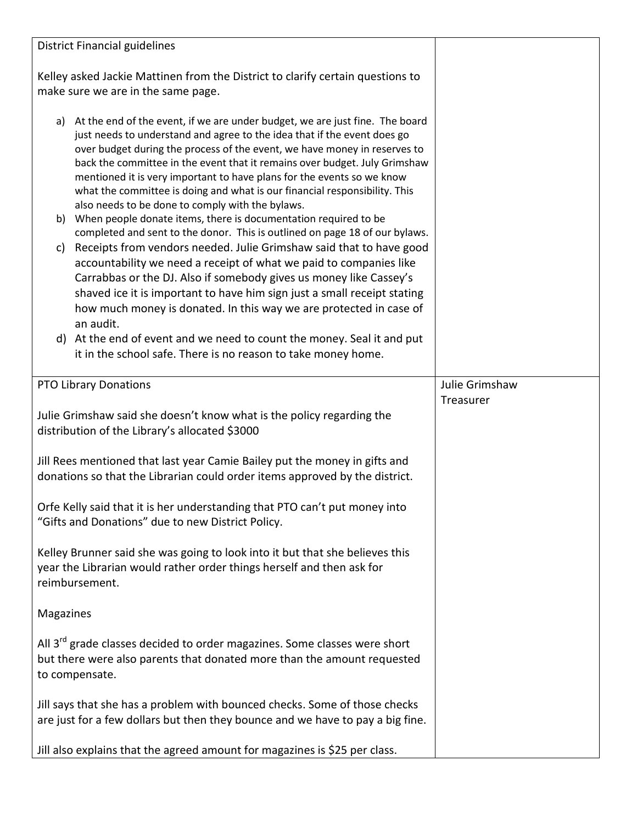| <b>District Financial guidelines</b>                                                                                                                                                                                                                                                                                                                                                                                                                                                                                                                                                                                                                                                                                                                                                                                                                                                                                                                                                                                                                                                                                                                                                                                          |                             |
|-------------------------------------------------------------------------------------------------------------------------------------------------------------------------------------------------------------------------------------------------------------------------------------------------------------------------------------------------------------------------------------------------------------------------------------------------------------------------------------------------------------------------------------------------------------------------------------------------------------------------------------------------------------------------------------------------------------------------------------------------------------------------------------------------------------------------------------------------------------------------------------------------------------------------------------------------------------------------------------------------------------------------------------------------------------------------------------------------------------------------------------------------------------------------------------------------------------------------------|-----------------------------|
| Kelley asked Jackie Mattinen from the District to clarify certain questions to<br>make sure we are in the same page.                                                                                                                                                                                                                                                                                                                                                                                                                                                                                                                                                                                                                                                                                                                                                                                                                                                                                                                                                                                                                                                                                                          |                             |
| a) At the end of the event, if we are under budget, we are just fine. The board<br>just needs to understand and agree to the idea that if the event does go<br>over budget during the process of the event, we have money in reserves to<br>back the committee in the event that it remains over budget. July Grimshaw<br>mentioned it is very important to have plans for the events so we know<br>what the committee is doing and what is our financial responsibility. This<br>also needs to be done to comply with the bylaws.<br>When people donate items, there is documentation required to be<br>b)<br>completed and sent to the donor. This is outlined on page 18 of our bylaws.<br>Receipts from vendors needed. Julie Grimshaw said that to have good<br>C)<br>accountability we need a receipt of what we paid to companies like<br>Carrabbas or the DJ. Also if somebody gives us money like Cassey's<br>shaved ice it is important to have him sign just a small receipt stating<br>how much money is donated. In this way we are protected in case of<br>an audit.<br>d) At the end of event and we need to count the money. Seal it and put<br>it in the school safe. There is no reason to take money home. |                             |
| <b>PTO Library Donations</b>                                                                                                                                                                                                                                                                                                                                                                                                                                                                                                                                                                                                                                                                                                                                                                                                                                                                                                                                                                                                                                                                                                                                                                                                  | Julie Grimshaw<br>Treasurer |
| Julie Grimshaw said she doesn't know what is the policy regarding the<br>distribution of the Library's allocated \$3000                                                                                                                                                                                                                                                                                                                                                                                                                                                                                                                                                                                                                                                                                                                                                                                                                                                                                                                                                                                                                                                                                                       |                             |
| Jill Rees mentioned that last year Camie Bailey put the money in gifts and<br>donations so that the Librarian could order items approved by the district.                                                                                                                                                                                                                                                                                                                                                                                                                                                                                                                                                                                                                                                                                                                                                                                                                                                                                                                                                                                                                                                                     |                             |
| Orfe Kelly said that it is her understanding that PTO can't put money into<br>"Gifts and Donations" due to new District Policy.                                                                                                                                                                                                                                                                                                                                                                                                                                                                                                                                                                                                                                                                                                                                                                                                                                                                                                                                                                                                                                                                                               |                             |
| Kelley Brunner said she was going to look into it but that she believes this<br>year the Librarian would rather order things herself and then ask for<br>reimbursement.                                                                                                                                                                                                                                                                                                                                                                                                                                                                                                                                                                                                                                                                                                                                                                                                                                                                                                                                                                                                                                                       |                             |
| Magazines                                                                                                                                                                                                                                                                                                                                                                                                                                                                                                                                                                                                                                                                                                                                                                                                                                                                                                                                                                                                                                                                                                                                                                                                                     |                             |
| All 3 <sup>rd</sup> grade classes decided to order magazines. Some classes were short<br>but there were also parents that donated more than the amount requested<br>to compensate.                                                                                                                                                                                                                                                                                                                                                                                                                                                                                                                                                                                                                                                                                                                                                                                                                                                                                                                                                                                                                                            |                             |
| Jill says that she has a problem with bounced checks. Some of those checks<br>are just for a few dollars but then they bounce and we have to pay a big fine.                                                                                                                                                                                                                                                                                                                                                                                                                                                                                                                                                                                                                                                                                                                                                                                                                                                                                                                                                                                                                                                                  |                             |
| Jill also explains that the agreed amount for magazines is \$25 per class.                                                                                                                                                                                                                                                                                                                                                                                                                                                                                                                                                                                                                                                                                                                                                                                                                                                                                                                                                                                                                                                                                                                                                    |                             |